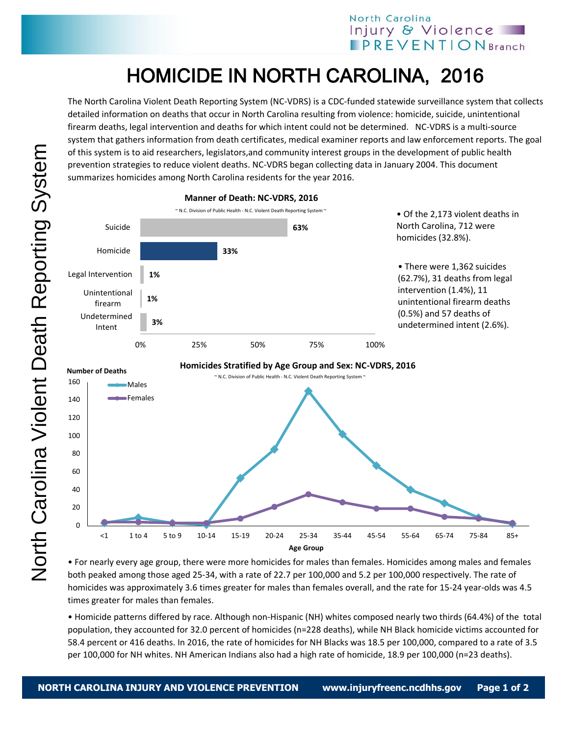## North Carolina Injury & Violence **IPREVENTIONBranch**

## HOMICIDE IN NORTH CAROLINA, 2016

The North Carolina Violent Death Reporting System (NC-VDRS) is a CDC-funded statewide surveillance system that collects detailed information on deaths that occur in North Carolina resulting from violence: homicide, suicide, unintentional firearm deaths, legal intervention and deaths for which intent could not be determined. NC-VDRS is a multi-source system that gathers information from death certificates, medical examiner reports and law enforcement reports. The goal of this system is to aid researchers, legislators,and community interest groups in the development of public health prevention strategies to reduce violent deaths. NC-VDRS began collecting data in January 2004. This document summarizes homicides among North Carolina residents for the year 2016.



• For nearly every age group, there were more homicides for males than females. Homicides among males and females both peaked among those aged 25-34, with a rate of 22.7 per 100,000 and 5.2 per 100,000 respectively. The rate of homicides was approximately 3.6 times greater for males than females overall, and the rate for 15-24 year-olds was 4.5 times greater for males than females.

• Homicide patterns differed by race. Although non-Hispanic (NH) whites composed nearly two thirds (64.4%) of the total population, they accounted for 32.0 percent of homicides (n=228 deaths), while NH Black homicide victims accounted for 58.4 percent or 416 deaths. In 2016, the rate of homicides for NH Blacks was 18.5 per 100,000, compared to a rate of 3.5 per 100,000 for NH whites. NH American Indians also had a high rate of homicide, 18.9 per 100,000 (n=23 deaths).